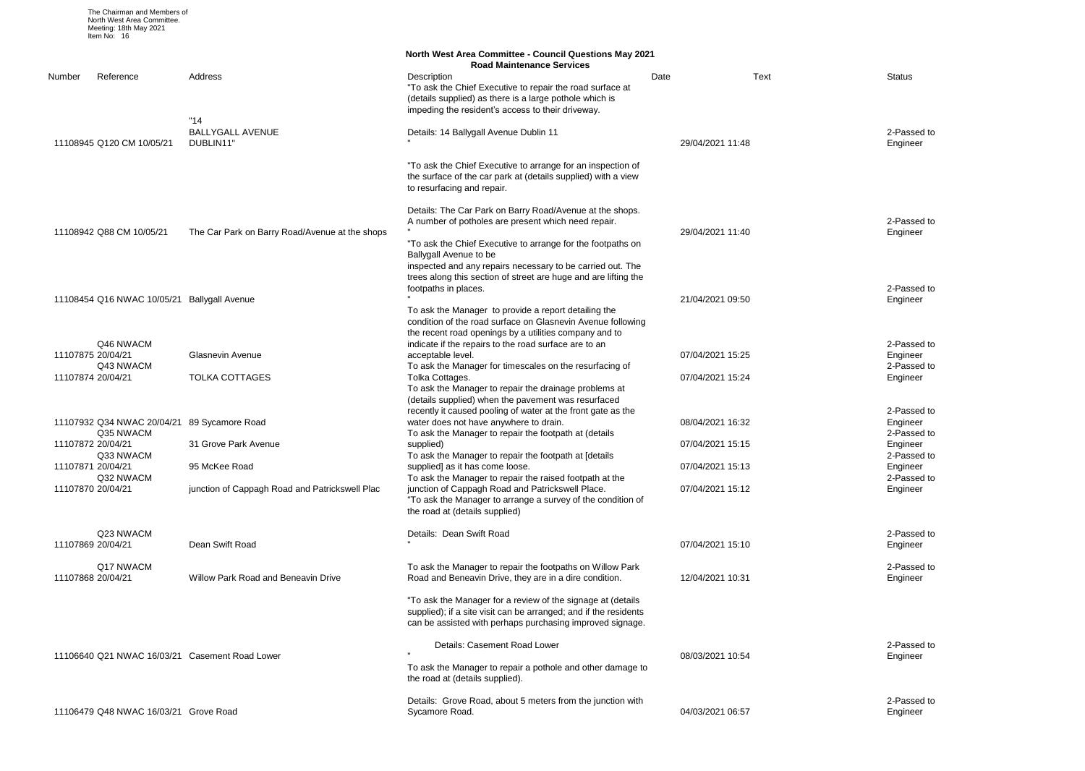2-Passed to Engineer

2-Passed to Engineer

2-Passed to Engineer 2-Passed to Engineer

| The Chairman and Members of<br>North West Area Committee.<br>Meeting: 18th May 2021<br>Item No: 16 |                                                                 |                                                                                                                                                                                              |                                      |                           |
|----------------------------------------------------------------------------------------------------|-----------------------------------------------------------------|----------------------------------------------------------------------------------------------------------------------------------------------------------------------------------------------|--------------------------------------|---------------------------|
|                                                                                                    |                                                                 | <b>North West Area Committee - Council Questions May 2021</b><br><b>Road Maintenance Services</b>                                                                                            |                                      |                           |
| Number<br>Reference                                                                                | Address                                                         | Description<br>"To ask the Chief Executive to repair the road surface at<br>(details supplied) as there is a large pothole which is<br>impeding the resident's access to their driveway.     | Date                                 | Text<br>Status            |
| 11108945 Q120 CM 10/05/21                                                                          | "14"<br><b>BALLYGALL AVENUE</b><br>DUBLIN11"                    | Details: 14 Ballygall Avenue Dublin 11                                                                                                                                                       | 29/04/2021 11:48                     | 2-Pas<br>Engine           |
|                                                                                                    |                                                                 | "To ask the Chief Executive to arrange for an inspection of<br>the surface of the car park at (details supplied) with a view<br>to resurfacing and repair.                                   |                                      |                           |
| 11108942 Q88 CM 10/05/21                                                                           | The Car Park on Barry Road/Avenue at the shops                  | Details: The Car Park on Barry Road/Avenue at the shops.<br>A number of potholes are present which need repair.<br>"To ask the Chief Executive to arrange for the footpaths on               | 29/04/2021 11:40                     | 2-Pas<br>Engine           |
|                                                                                                    |                                                                 | Ballygall Avenue to be<br>inspected and any repairs necessary to be carried out. The<br>trees along this section of street are huge and are lifting the<br>footpaths in places.              |                                      | 2-Pas                     |
| 11108454 Q16 NWAC 10/05/21 Ballygall Avenue                                                        |                                                                 | To ask the Manager to provide a report detailing the<br>condition of the road surface on Glasnevin Avenue following<br>the recent road openings by a utilities company and to                | 21/04/2021 09:50                     | Engine                    |
| Q46 NWACM<br>11107875 20/04/21<br>Q43 NWACM                                                        | <b>Glasnevin Avenue</b>                                         | indicate if the repairs to the road surface are to an<br>acceptable level.<br>To ask the Manager for timescales on the resurfacing of                                                        | 07/04/2021 15:25                     | 2-Pas<br>Engine<br>2-Pas  |
| 11107874 20/04/21                                                                                  | <b>TOLKA COTTAGES</b>                                           | Tolka Cottages.<br>To ask the Manager to repair the drainage problems at<br>(details supplied) when the pavement was resurfaced                                                              | 07/04/2021 15:24                     | Engine                    |
| 11107932 Q34 NWAC 20/04/21<br>Q35 NWACM                                                            | 89 Sycamore Road                                                | recently it caused pooling of water at the front gate as the<br>water does not have anywhere to drain.<br>To ask the Manager to repair the footpath at (details                              | 08/04/2021 16:32                     | 2-Pas<br>Engine<br>2-Pas  |
| 11107872 20/04/21<br>Q33 NWACM                                                                     | 31 Grove Park Avenue                                            | supplied)<br>To ask the Manager to repair the footpath at [details                                                                                                                           | 07/04/2021 15:15                     | Engine<br>2-Pas           |
| 11107871 20/04/21<br>Q32 NWACM<br>11107870 20/04/21                                                | 95 McKee Road<br>junction of Cappagh Road and Patrickswell Plac | supplied] as it has come loose.<br>To ask the Manager to repair the raised footpath at the<br>junction of Cappagh Road and Patrickswell Place.                                               | 07/04/2021 15:13<br>07/04/2021 15:12 | Engine<br>2-Pas<br>Engine |
|                                                                                                    |                                                                 | "To ask the Manager to arrange a survey of the condition of<br>the road at (details supplied)                                                                                                |                                      |                           |
| Q23 NWACM<br>11107869 20/04/21                                                                     | Dean Swift Road                                                 | Details: Dean Swift Road                                                                                                                                                                     | 07/04/2021 15:10                     | 2-Pas<br>Engine           |
| Q17 NWACM<br>11107868 20/04/21                                                                     | Willow Park Road and Beneavin Drive                             | To ask the Manager to repair the footpaths on Willow Park<br>Road and Beneavin Drive, they are in a dire condition.                                                                          | 12/04/2021 10:31                     | 2-Pas<br>Engine           |
|                                                                                                    |                                                                 | "To ask the Manager for a review of the signage at (details<br>supplied); if a site visit can be arranged; and if the residents<br>can be assisted with perhaps purchasing improved signage. |                                      |                           |
| 11106640 Q21 NWAC 16/03/21 Casement Road Lower                                                     |                                                                 | Details: Casement Road Lower                                                                                                                                                                 | 08/03/2021 10:54                     | 2-Pas<br>Engine           |
|                                                                                                    |                                                                 | To ask the Manager to repair a pothole and other damage to<br>the road at (details supplied).                                                                                                |                                      |                           |
| 11106479 Q48 NWAC 16/03/21 Grove Road                                                              |                                                                 | Details: Grove Road, about 5 meters from the junction with<br>Sycamore Road.                                                                                                                 | 04/03/2021 06:57                     | 2-Pas<br>Engine           |

2-Passed to Engineer 2-Passed to Engineer 2-Passed to Engineer 2-Passed to Engineer

2-Passed to Engineer

2-Passed to Engineer

2-Passed to Engineer

2-Passed to Engineer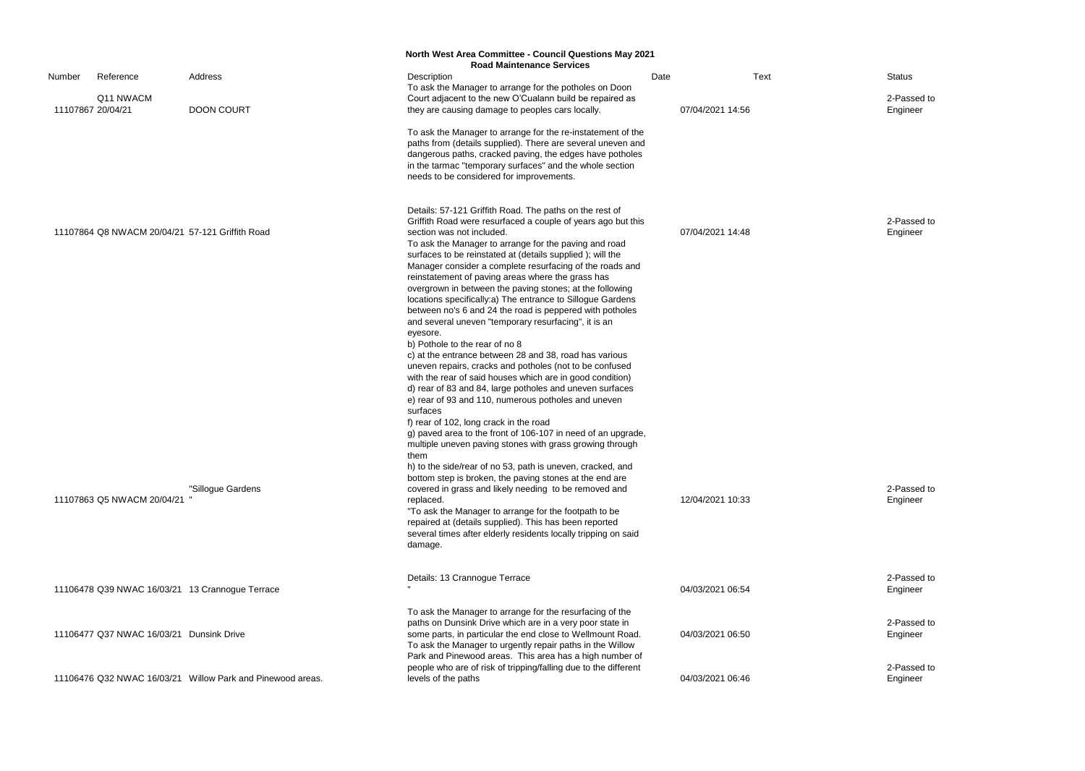2-Passed to Engineer

|                   |                                                 |                                                            | <b>North West Area Committee - Council Questions May 2021</b><br><b>Road Maintenance Services</b>                                                                                                                                                                                                                                                                                                                                                                                                                                                                                                                                                                                                                                                                                                                                                                                                                                                                                                                                                   |                  |             |                        |
|-------------------|-------------------------------------------------|------------------------------------------------------------|-----------------------------------------------------------------------------------------------------------------------------------------------------------------------------------------------------------------------------------------------------------------------------------------------------------------------------------------------------------------------------------------------------------------------------------------------------------------------------------------------------------------------------------------------------------------------------------------------------------------------------------------------------------------------------------------------------------------------------------------------------------------------------------------------------------------------------------------------------------------------------------------------------------------------------------------------------------------------------------------------------------------------------------------------------|------------------|-------------|------------------------|
| Number            | Reference<br>Q11 NWACM                          | Address                                                    | Description<br>To ask the Manager to arrange for the potholes on Doon<br>Court adjacent to the new O'Cualann build be repaired as                                                                                                                                                                                                                                                                                                                                                                                                                                                                                                                                                                                                                                                                                                                                                                                                                                                                                                                   | Date             | <b>Text</b> | <b>Status</b><br>2-Pas |
| 11107867 20/04/21 |                                                 | <b>DOON COURT</b>                                          | they are causing damage to peoples cars locally.                                                                                                                                                                                                                                                                                                                                                                                                                                                                                                                                                                                                                                                                                                                                                                                                                                                                                                                                                                                                    | 07/04/2021 14:56 |             | Engine                 |
|                   |                                                 |                                                            | To ask the Manager to arrange for the re-instatement of the<br>paths from (details supplied). There are several uneven and<br>dangerous paths, cracked paving, the edges have potholes<br>in the tarmac "temporary surfaces" and the whole section<br>needs to be considered for improvements.                                                                                                                                                                                                                                                                                                                                                                                                                                                                                                                                                                                                                                                                                                                                                      |                  |             |                        |
|                   | 11107864 Q8 NWACM 20/04/21 57-121 Griffith Road |                                                            | Details: 57-121 Griffith Road. The paths on the rest of<br>Griffith Road were resurfaced a couple of years ago but this<br>section was not included.<br>To ask the Manager to arrange for the paving and road<br>surfaces to be reinstated at (details supplied); will the<br>Manager consider a complete resurfacing of the roads and<br>reinstatement of paving areas where the grass has<br>overgrown in between the paving stones; at the following<br>locations specifically: a) The entrance to Sillogue Gardens<br>between no's 6 and 24 the road is peppered with potholes<br>and several uneven "temporary resurfacing", it is an<br>eyesore.<br>b) Pothole to the rear of no 8<br>c) at the entrance between 28 and 38, road has various<br>uneven repairs, cracks and potholes (not to be confused<br>with the rear of said houses which are in good condition)<br>d) rear of 83 and 84, large potholes and uneven surfaces<br>e) rear of 93 and 110, numerous potholes and uneven<br>surfaces<br>f) rear of 102, long crack in the road | 07/04/2021 14:48 |             | 2-Pas<br>Engine        |
|                   | 11107863 Q5 NWACM 20/04/21                      | "Sillogue Gardens                                          | g) paved area to the front of 106-107 in need of an upgrade,<br>multiple uneven paving stones with grass growing through<br>them<br>h) to the side/rear of no 53, path is uneven, cracked, and<br>bottom step is broken, the paving stones at the end are<br>covered in grass and likely needing to be removed and<br>replaced.<br>"To ask the Manager to arrange for the footpath to be<br>repaired at (details supplied). This has been reported<br>several times after elderly residents locally tripping on said<br>damage.                                                                                                                                                                                                                                                                                                                                                                                                                                                                                                                     | 12/04/2021 10:33 |             | 2-Pas<br>Engine        |
|                   |                                                 | 11106478 Q39 NWAC 16/03/21 13 Crannogue Terrace            | Details: 13 Crannogue Terrace                                                                                                                                                                                                                                                                                                                                                                                                                                                                                                                                                                                                                                                                                                                                                                                                                                                                                                                                                                                                                       | 04/03/2021 06:54 |             | 2-Pas<br>Engine        |
|                   | 11106477 Q37 NWAC 16/03/21 Dunsink Drive        |                                                            | To ask the Manager to arrange for the resurfacing of the<br>paths on Dunsink Drive which are in a very poor state in<br>some parts, in particular the end close to Wellmount Road.<br>To ask the Manager to urgently repair paths in the Willow<br>Park and Pinewood areas. This area has a high number of                                                                                                                                                                                                                                                                                                                                                                                                                                                                                                                                                                                                                                                                                                                                          | 04/03/2021 06:50 |             | 2-Pas<br>Engine        |
|                   |                                                 | 11106476 Q32 NWAC 16/03/21 Willow Park and Pinewood areas. | people who are of risk of tripping/falling due to the different<br>levels of the paths                                                                                                                                                                                                                                                                                                                                                                                                                                                                                                                                                                                                                                                                                                                                                                                                                                                                                                                                                              | 04/03/2021 06:46 |             | 2-Pass<br>Engine       |

2-Passed to Engineer

2-Passed to Engineer

2-Passed to Engineer

2-Passed to Engineer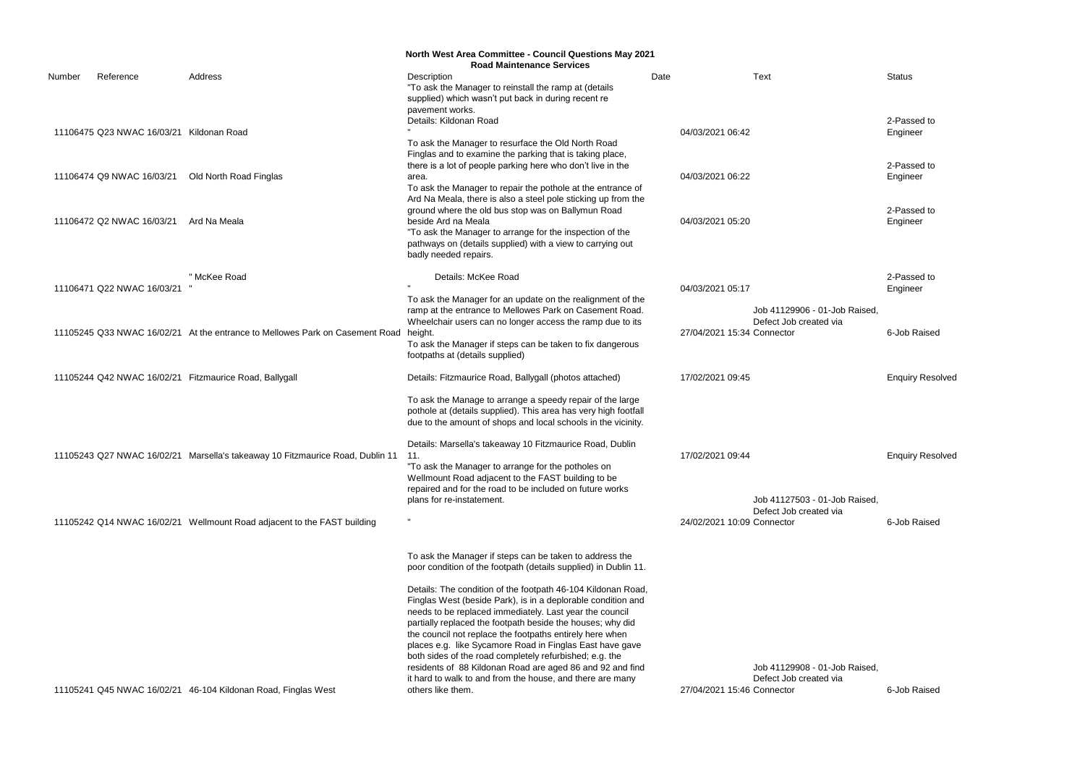2-Passed to Engineer

2-Passed to Engineer

2-Passed to Engineer

6-Job Raised

Enquiry Resolved

**Enquiry Resolved** 

6-Job Raised

6-Job Raised

|        |                                          |                                                                                   | <b>North West Area Committee - Council Questions May 2021</b>                                                                                                                                                                                                                                                                                                                                                                                                                                         |                  |                                                         |                 |
|--------|------------------------------------------|-----------------------------------------------------------------------------------|-------------------------------------------------------------------------------------------------------------------------------------------------------------------------------------------------------------------------------------------------------------------------------------------------------------------------------------------------------------------------------------------------------------------------------------------------------------------------------------------------------|------------------|---------------------------------------------------------|-----------------|
|        |                                          |                                                                                   | <b>Road Maintenance Services</b>                                                                                                                                                                                                                                                                                                                                                                                                                                                                      |                  |                                                         |                 |
| Number | Reference                                | Address                                                                           | Description<br>"To ask the Manager to reinstall the ramp at (details<br>supplied) which wasn't put back in during recent re                                                                                                                                                                                                                                                                                                                                                                           | Date             | Text                                                    | Status          |
|        | 11106475 Q23 NWAC 16/03/21 Kildonan Road |                                                                                   | pavement works.<br>Details: Kildonan Road                                                                                                                                                                                                                                                                                                                                                                                                                                                             | 04/03/2021 06:42 |                                                         | 2-Pas<br>Engine |
|        |                                          |                                                                                   | To ask the Manager to resurface the Old North Road<br>Finglas and to examine the parking that is taking place,<br>there is a lot of people parking here who don't live in the                                                                                                                                                                                                                                                                                                                         |                  |                                                         | 2-Pas           |
|        | 11106474 Q9 NWAC 16/03/21                | Old North Road Finglas                                                            | area.<br>To ask the Manager to repair the pothole at the entrance of                                                                                                                                                                                                                                                                                                                                                                                                                                  | 04/03/2021 06:22 |                                                         | Engine          |
|        | 11106472 Q2 NWAC 16/03/21                | Ard Na Meala                                                                      | Ard Na Meala, there is also a steel pole sticking up from the<br>ground where the old bus stop was on Ballymun Road<br>beside Ard na Meala<br>"To ask the Manager to arrange for the inspection of the<br>pathways on (details supplied) with a view to carrying out<br>badly needed repairs.                                                                                                                                                                                                         | 04/03/2021 05:20 |                                                         | 2-Pas<br>Engine |
|        | 11106471 Q22 NWAC 16/03/21               | " McKee Road                                                                      | Details: McKee Road                                                                                                                                                                                                                                                                                                                                                                                                                                                                                   | 04/03/2021 05:17 |                                                         | 2-Pas<br>Engine |
|        |                                          |                                                                                   | To ask the Manager for an update on the realignment of the<br>ramp at the entrance to Mellowes Park on Casement Road.<br>Wheelchair users can no longer access the ramp due to its                                                                                                                                                                                                                                                                                                                    |                  | Job 41129906 - 01-Job Raised,<br>Defect Job created via |                 |
|        |                                          | 11105245 Q33 NWAC 16/02/21 At the entrance to Mellowes Park on Casement Road      | height.<br>To ask the Manager if steps can be taken to fix dangerous<br>footpaths at (details supplied)                                                                                                                                                                                                                                                                                                                                                                                               |                  | 27/04/2021 15:34 Connector                              | 6-Job           |
|        |                                          | 11105244 Q42 NWAC 16/02/21 Fitzmaurice Road, Ballygall                            | Details: Fitzmaurice Road, Ballygall (photos attached)                                                                                                                                                                                                                                                                                                                                                                                                                                                | 17/02/2021 09:45 |                                                         | Enqui           |
|        |                                          |                                                                                   | To ask the Manage to arrange a speedy repair of the large<br>pothole at (details supplied). This area has very high footfall<br>due to the amount of shops and local schools in the vicinity.                                                                                                                                                                                                                                                                                                         |                  |                                                         |                 |
|        |                                          | 11105243 Q27 NWAC 16/02/21 Marsella's takeaway 10 Fitzmaurice Road, Dublin 11 11. | Details: Marsella's takeaway 10 Fitzmaurice Road, Dublin<br>"To ask the Manager to arrange for the potholes on<br>Wellmount Road adjacent to the FAST building to be<br>repaired and for the road to be included on future works                                                                                                                                                                                                                                                                      | 17/02/2021 09:44 |                                                         | Enqui           |
|        |                                          |                                                                                   | plans for re-instatement.                                                                                                                                                                                                                                                                                                                                                                                                                                                                             |                  | Job 41127503 - 01-Job Raised,<br>Defect Job created via |                 |
|        |                                          | 11105242 Q14 NWAC 16/02/21 Wellmount Road adjacent to the FAST building           |                                                                                                                                                                                                                                                                                                                                                                                                                                                                                                       |                  | 24/02/2021 10:09 Connector                              | 6-Job           |
|        |                                          |                                                                                   | To ask the Manager if steps can be taken to address the<br>poor condition of the footpath (details supplied) in Dublin 11.                                                                                                                                                                                                                                                                                                                                                                            |                  |                                                         |                 |
|        |                                          |                                                                                   | Details: The condition of the footpath 46-104 Kildonan Road,<br>Finglas West (beside Park), is in a deplorable condition and<br>needs to be replaced immediately. Last year the council<br>partially replaced the footpath beside the houses; why did<br>the council not replace the footpaths entirely here when<br>places e.g. like Sycamore Road in Finglas East have gave<br>both sides of the road completely refurbished; e.g. the<br>residents of 88 Kildonan Road are aged 86 and 92 and find |                  | Job 41129908 - 01-Job Raised,                           |                 |
|        |                                          | 11105241 Q45 NWAC 16/02/21 46-104 Kildonan Road, Finglas West                     | it hard to walk to and from the house, and there are many<br>others like them.                                                                                                                                                                                                                                                                                                                                                                                                                        |                  | Defect Job created via<br>27/04/2021 15:46 Connector    | 6-Job           |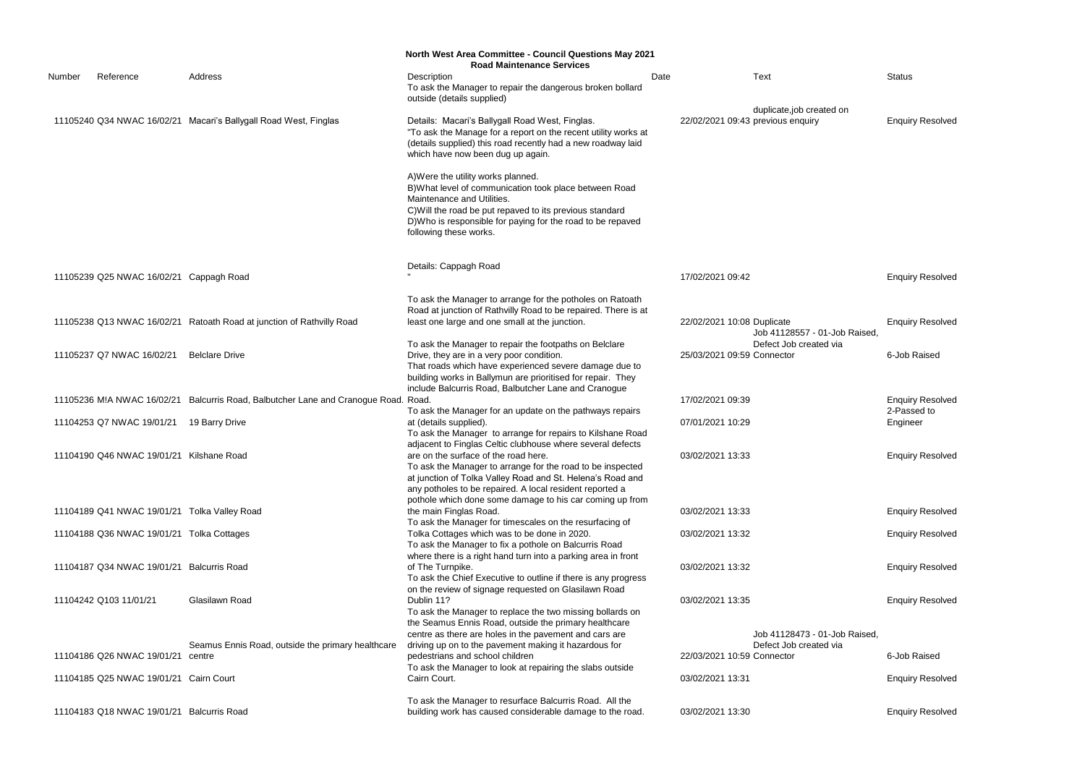|        |                                              |                                                                                     | <b>North West Area Committee - Council Questions May 2021</b><br><b>Road Maintenance Services</b>                                                                                                                                                                                          |      |                            |                                                               |                         |
|--------|----------------------------------------------|-------------------------------------------------------------------------------------|--------------------------------------------------------------------------------------------------------------------------------------------------------------------------------------------------------------------------------------------------------------------------------------------|------|----------------------------|---------------------------------------------------------------|-------------------------|
| Number | Reference                                    | Address                                                                             | Description<br>To ask the Manager to repair the dangerous broken bollard<br>outside (details supplied)                                                                                                                                                                                     | Date |                            | <b>Text</b>                                                   | <b>Status</b>           |
|        |                                              | 11105240 Q34 NWAC 16/02/21 Macari's Ballygall Road West, Finglas                    | Details: Macari's Ballygall Road West, Finglas.<br>"To ask the Manage for a report on the recent utility works at<br>(details supplied) this road recently had a new roadway laid<br>which have now been dug up again.                                                                     |      |                            | duplicate,job created on<br>22/02/2021 09:43 previous enquiry | <b>Enquiry Resolved</b> |
|        |                                              |                                                                                     | A) Were the utility works planned.<br>B) What level of communication took place between Road<br>Maintenance and Utilities.<br>C) Will the road be put repaved to its previous standard<br>D) Who is responsible for paying for the road to be repaved<br>following these works.            |      |                            |                                                               |                         |
|        | 11105239 Q25 NWAC 16/02/21 Cappagh Road      |                                                                                     | Details: Cappagh Road                                                                                                                                                                                                                                                                      |      | 17/02/2021 09:42           |                                                               | <b>Enquiry Resolved</b> |
|        |                                              | 11105238 Q13 NWAC 16/02/21 Ratoath Road at junction of Rathvilly Road               | To ask the Manager to arrange for the potholes on Ratoath<br>Road at junction of Rathvilly Road to be repaired. There is at<br>least one large and one small at the junction.                                                                                                              |      | 22/02/2021 10:08 Duplicate |                                                               | <b>Enquiry Resolved</b> |
|        | 11105237 Q7 NWAC 16/02/21                    | <b>Belclare Drive</b>                                                               | To ask the Manager to repair the footpaths on Belclare<br>Drive, they are in a very poor condition.<br>That roads which have experienced severe damage due to<br>building works in Ballymun are prioritised for repair. They                                                               |      | 25/03/2021 09:59 Connector | Job 41128557 - 01-Job Raised,<br>Defect Job created via       | 6-Job Raised            |
|        |                                              | 11105236 M!A NWAC 16/02/21 Balcurris Road, Balbutcher Lane and Cranogue Road. Road. | include Balcurris Road, Balbutcher Lane and Cranogue                                                                                                                                                                                                                                       |      | 17/02/2021 09:39           |                                                               | <b>Enquiry Resolved</b> |
|        | 11104253 Q7 NWAC 19/01/21 19 Barry Drive     |                                                                                     | To ask the Manager for an update on the pathways repairs<br>at (details supplied).<br>To ask the Manager to arrange for repairs to Kilshane Road                                                                                                                                           |      | 07/01/2021 10:29           |                                                               | 2-Passed to<br>Engineer |
|        | 11104190 Q46 NWAC 19/01/21 Kilshane Road     |                                                                                     | adjacent to Finglas Celtic clubhouse where several defects<br>are on the surface of the road here.<br>To ask the Manager to arrange for the road to be inspected<br>at junction of Tolka Valley Road and St. Helena's Road and<br>any potholes to be repaired. A local resident reported a |      | 03/02/2021 13:33           |                                                               | <b>Enquiry Resolved</b> |
|        | 11104189 Q41 NWAC 19/01/21 Tolka Valley Road |                                                                                     | pothole which done some damage to his car coming up from<br>the main Finglas Road.                                                                                                                                                                                                         |      | 03/02/2021 13:33           |                                                               | <b>Enquiry Resolved</b> |
|        | 11104188 Q36 NWAC 19/01/21 Tolka Cottages    |                                                                                     | To ask the Manager for timescales on the resurfacing of<br>Tolka Cottages which was to be done in 2020.<br>To ask the Manager to fix a pothole on Balcurris Road<br>where there is a right hand turn into a parking area in front                                                          |      | 03/02/2021 13:32           |                                                               | <b>Enquiry Resolved</b> |
|        | 11104187 Q34 NWAC 19/01/21 Balcurris Road    |                                                                                     | of The Turnpike.<br>To ask the Chief Executive to outline if there is any progress<br>on the review of signage requested on Glasilawn Road                                                                                                                                                 |      | 03/02/2021 13:32           |                                                               | <b>Enquiry Resolved</b> |
|        | 11104242 Q103 11/01/21                       | Glasilawn Road                                                                      | Dublin 11?<br>To ask the Manager to replace the two missing bollards on<br>the Seamus Ennis Road, outside the primary healthcare                                                                                                                                                           |      | 03/02/2021 13:35           |                                                               | <b>Enquiry Resolved</b> |
|        |                                              |                                                                                     | centre as there are holes in the pavement and cars are                                                                                                                                                                                                                                     |      |                            | Job 41128473 - 01-Job Raised,                                 |                         |
|        | 11104186 Q26 NWAC 19/01/21                   | Seamus Ennis Road, outside the primary healthcare<br>centre                         | driving up on to the pavement making it hazardous for<br>pedestrians and school children<br>To ask the Manager to look at repairing the slabs outside                                                                                                                                      |      | 22/03/2021 10:59 Connector | Defect Job created via                                        | 6-Job Raised            |
|        | 11104185 Q25 NWAC 19/01/21 Cairn Court       |                                                                                     | Cairn Court.                                                                                                                                                                                                                                                                               |      | 03/02/2021 13:31           |                                                               | <b>Enquiry Resolved</b> |
|        | 11104183 Q18 NWAC 19/01/21 Balcurris Road    |                                                                                     | To ask the Manager to resurface Balcurris Road. All the<br>building work has caused considerable damage to the road.                                                                                                                                                                       |      | 03/02/2021 13:30           |                                                               | <b>Enquiry Resolved</b> |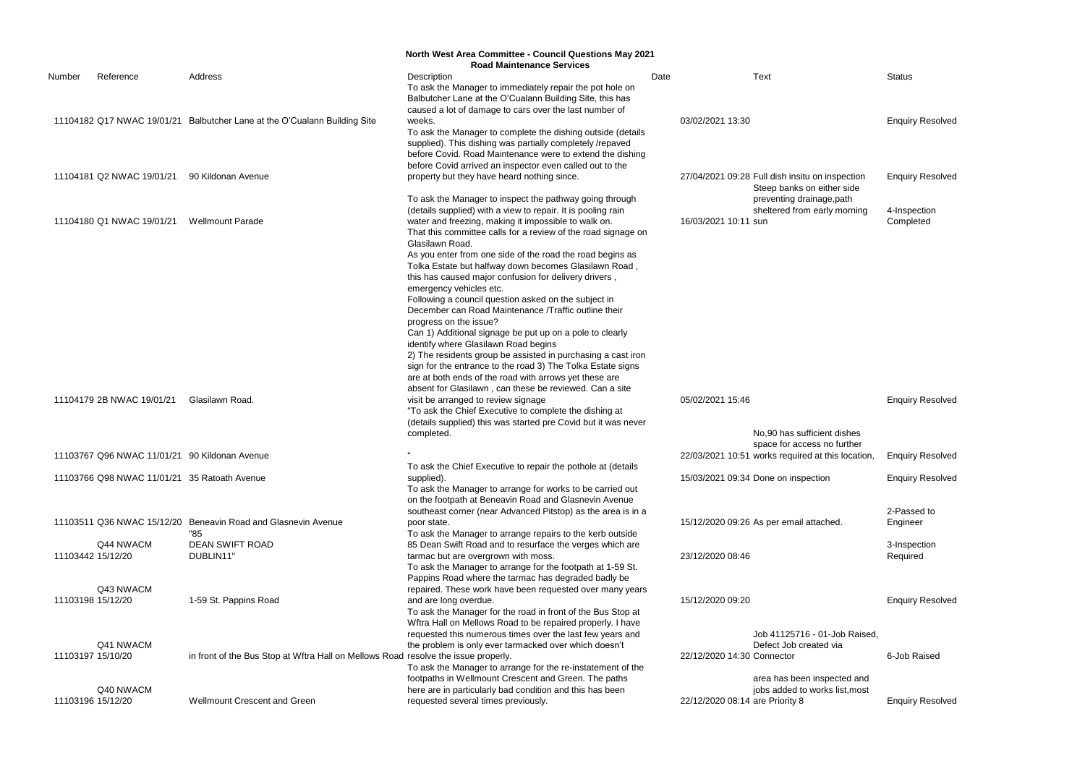|        |                                               |                                                                                    | <b>North West Area Committee - Council Questions May 2021</b>                                                                                                                                                                                     |                                 |                                                                               |                          |
|--------|-----------------------------------------------|------------------------------------------------------------------------------------|---------------------------------------------------------------------------------------------------------------------------------------------------------------------------------------------------------------------------------------------------|---------------------------------|-------------------------------------------------------------------------------|--------------------------|
|        |                                               |                                                                                    | <b>Road Maintenance Services</b>                                                                                                                                                                                                                  |                                 |                                                                               |                          |
| Number | Reference                                     | Address                                                                            | Description<br>To ask the Manager to immediately repair the pot hole on<br>Balbutcher Lane at the O'Cualann Building Site, this has                                                                                                               | Date                            | <b>Text</b>                                                                   | <b>Status</b>            |
|        |                                               | 11104182 Q17 NWAC 19/01/21 Balbutcher Lane at the O'Cualann Building Site          | caused a lot of damage to cars over the last number of<br>weeks.                                                                                                                                                                                  | 03/02/2021 13:30                |                                                                               | <b>Enquiry Resolved</b>  |
|        |                                               |                                                                                    | To ask the Manager to complete the dishing outside (details<br>supplied). This dishing was partially completely /repaved<br>before Covid. Road Maintenance were to extend the dishing<br>before Covid arrived an inspector even called out to the |                                 |                                                                               |                          |
|        | 11104181 Q2 NWAC 19/01/21                     | 90 Kildonan Avenue                                                                 | property but they have heard nothing since.                                                                                                                                                                                                       |                                 | 27/04/2021 09:28 Full dish insitu on inspection<br>Steep banks on either side | <b>Enquiry Resolved</b>  |
|        |                                               |                                                                                    | To ask the Manager to inspect the pathway going through<br>(details supplied) with a view to repair. It is pooling rain                                                                                                                           |                                 | preventing drainage, path<br>sheltered from early morning                     | 4-Inspection             |
|        | 11104180 Q1 NWAC 19/01/21                     | <b>Wellmount Parade</b>                                                            | water and freezing, making it impossible to walk on.<br>That this committee calls for a review of the road signage on<br>Glasilawn Road.                                                                                                          | 16/03/2021 10:11 sun            |                                                                               | Completed                |
|        |                                               |                                                                                    | As you enter from one side of the road the road begins as<br>Tolka Estate but halfway down becomes Glasilawn Road,<br>this has caused major confusion for delivery drivers,<br>emergency vehicles etc.                                            |                                 |                                                                               |                          |
|        |                                               |                                                                                    | Following a council question asked on the subject in<br>December can Road Maintenance / Traffic outline their<br>progress on the issue?                                                                                                           |                                 |                                                                               |                          |
|        |                                               |                                                                                    | Can 1) Additional signage be put up on a pole to clearly<br>identify where Glasilawn Road begins<br>2) The residents group be assisted in purchasing a cast iron                                                                                  |                                 |                                                                               |                          |
|        |                                               |                                                                                    | sign for the entrance to the road 3) The Tolka Estate signs<br>are at both ends of the road with arrows yet these are<br>absent for Glasilawn, can these be reviewed. Can a site                                                                  |                                 |                                                                               |                          |
|        | 11104179 2B NWAC 19/01/21                     | Glasilawn Road.                                                                    | visit be arranged to review signage<br>"To ask the Chief Executive to complete the dishing at                                                                                                                                                     | 05/02/2021 15:46                |                                                                               | <b>Enquiry Resolved</b>  |
|        |                                               |                                                                                    | (details supplied) this was started pre Covid but it was never<br>completed.                                                                                                                                                                      |                                 | No,90 has sufficient dishes<br>space for access no further                    |                          |
|        | 11103767 Q96 NWAC 11/01/21 90 Kildonan Avenue |                                                                                    | To ask the Chief Executive to repair the pothole at (details                                                                                                                                                                                      |                                 | 22/03/2021 10:51 works required at this location, Enquiry Resolved            |                          |
|        | 11103766 Q98 NWAC 11/01/21 35 Ratoath Avenue  |                                                                                    | supplied).<br>To ask the Manager to arrange for works to be carried out                                                                                                                                                                           |                                 | 15/03/2021 09:34 Done on inspection                                           | <b>Enquiry Resolved</b>  |
|        |                                               |                                                                                    | on the footpath at Beneavin Road and Glasnevin Avenue<br>southeast corner (near Advanced Pitstop) as the area is in a                                                                                                                             |                                 |                                                                               | 2-Passed to              |
|        |                                               | 11103511 Q36 NWAC 15/12/20 Beneavin Road and Glasnevin Avenue<br>"85               | poor state.<br>To ask the Manager to arrange repairs to the kerb outside                                                                                                                                                                          |                                 | 15/12/2020 09:26 As per email attached.                                       | Engineer                 |
|        | Q44 NWACM<br>11103442 15/12/20                | <b>DEAN SWIFT ROAD</b><br>DUBLIN11"                                                | 85 Dean Swift Road and to resurface the verges which are<br>tarmac but are overgrown with moss.                                                                                                                                                   | 23/12/2020 08:46                |                                                                               | 3-Inspection<br>Required |
|        |                                               |                                                                                    | To ask the Manager to arrange for the footpath at 1-59 St.<br>Pappins Road where the tarmac has degraded badly be                                                                                                                                 |                                 |                                                                               |                          |
|        | Q43 NWACM<br>11103198 15/12/20                | 1-59 St. Pappins Road                                                              | repaired. These work have been requested over many years<br>and are long overdue.                                                                                                                                                                 | 15/12/2020 09:20                |                                                                               | <b>Enquiry Resolved</b>  |
|        |                                               |                                                                                    | To ask the Manager for the road in front of the Bus Stop at<br>Wftra Hall on Mellows Road to be repaired properly. I have<br>requested this numerous times over the last few years and                                                            |                                 | Job 41125716 - 01-Job Raised,                                                 |                          |
|        | Q41 NWACM<br>11103197 15/10/20                | in front of the Bus Stop at Wftra Hall on Mellows Road resolve the issue properly. | the problem is only ever tarmacked over which doesn't                                                                                                                                                                                             | 22/12/2020 14:30 Connector      | Defect Job created via                                                        | 6-Job Raised             |
|        |                                               |                                                                                    | To ask the Manager to arrange for the re-instatement of the<br>footpaths in Wellmount Crescent and Green. The paths                                                                                                                               |                                 | area has been inspected and                                                   |                          |
|        | Q40 NWACM<br>11103196 15/12/20                | Wellmount Crescent and Green                                                       | here are in particularly bad condition and this has been<br>requested several times previously.                                                                                                                                                   | 22/12/2020 08:14 are Priority 8 | jobs added to works list, most                                                | <b>Enquiry Resolved</b>  |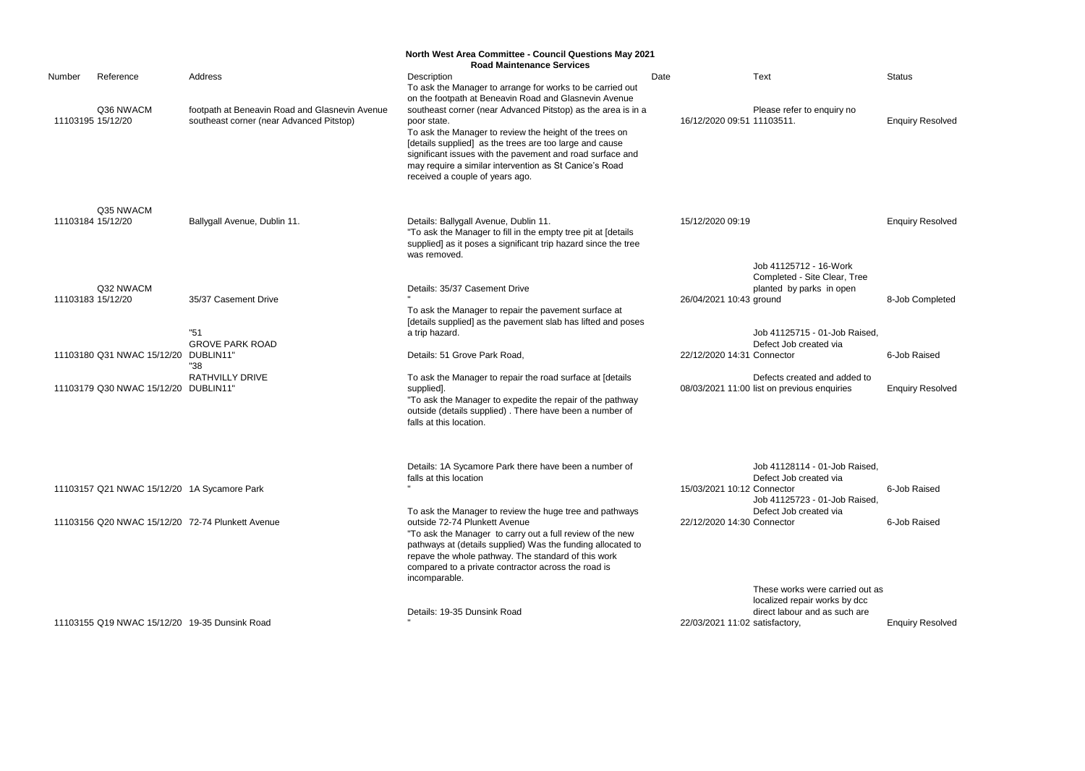|                   |                                               |                                                                                            | <b>North West Area Committee - Council Questions May 2021</b><br><b>Road Maintenance Services</b>                                                                                                                                                                                                                                                           |      |                                |                                                                             |                         |
|-------------------|-----------------------------------------------|--------------------------------------------------------------------------------------------|-------------------------------------------------------------------------------------------------------------------------------------------------------------------------------------------------------------------------------------------------------------------------------------------------------------------------------------------------------------|------|--------------------------------|-----------------------------------------------------------------------------|-------------------------|
| Number            | Reference                                     | Address                                                                                    | Description<br>To ask the Manager to arrange for works to be carried out<br>on the footpath at Beneavin Road and Glasnevin Avenue                                                                                                                                                                                                                           | Date |                                | Text                                                                        | <b>Status</b>           |
| 11103195 15/12/20 | Q36 NWACM                                     | footpath at Beneavin Road and Glasnevin Avenue<br>southeast corner (near Advanced Pitstop) | southeast corner (near Advanced Pitstop) as the area is in a<br>poor state.<br>To ask the Manager to review the height of the trees on<br>[details supplied] as the trees are too large and cause<br>significant issues with the pavement and road surface and<br>may require a similar intervention as St Canice's Road<br>received a couple of years ago. |      | 16/12/2020 09:51 11103511.     | Please refer to enquiry no                                                  | <b>Enquiry Resolved</b> |
|                   | Q35 NWACM                                     |                                                                                            |                                                                                                                                                                                                                                                                                                                                                             |      |                                |                                                                             |                         |
| 11103184 15/12/20 |                                               | Ballygall Avenue, Dublin 11.                                                               | Details: Ballygall Avenue, Dublin 11.<br>"To ask the Manager to fill in the empty tree pit at [details<br>supplied] as it poses a significant trip hazard since the tree<br>was removed.                                                                                                                                                                    |      | 15/12/2020 09:19               |                                                                             | <b>Enquiry Resolved</b> |
|                   |                                               |                                                                                            |                                                                                                                                                                                                                                                                                                                                                             |      |                                | Job 41125712 - 16-Work<br>Completed - Site Clear, Tree                      |                         |
| 11103183 15/12/20 | Q32 NWACM                                     | 35/37 Casement Drive                                                                       | Details: 35/37 Casement Drive                                                                                                                                                                                                                                                                                                                               |      | 26/04/2021 10:43 ground        | planted by parks in open                                                    | 8-Job Completed         |
|                   |                                               | "51                                                                                        | To ask the Manager to repair the pavement surface at<br>[details supplied] as the pavement slab has lifted and poses                                                                                                                                                                                                                                        |      |                                |                                                                             |                         |
|                   |                                               | <b>GROVE PARK ROAD</b>                                                                     | a trip hazard.                                                                                                                                                                                                                                                                                                                                              |      |                                | Job 41125715 - 01-Job Raised,<br>Defect Job created via                     |                         |
|                   | 11103180 Q31 NWAC 15/12/20                    | DUBLIN11"<br>"38                                                                           | Details: 51 Grove Park Road,                                                                                                                                                                                                                                                                                                                                |      | 22/12/2020 14:31 Connector     |                                                                             | 6-Job Raised            |
|                   | 11103179 Q30 NWAC 15/12/20 DUBLIN11'          | <b>RATHVILLY DRIVE</b>                                                                     | To ask the Manager to repair the road surface at [details<br>supplied].<br>"To ask the Manager to expedite the repair of the pathway<br>outside (details supplied). There have been a number of<br>falls at this location.                                                                                                                                  |      |                                | Defects created and added to<br>08/03/2021 11:00 list on previous enquiries | <b>Enquiry Resolved</b> |
|                   |                                               |                                                                                            | Details: 1A Sycamore Park there have been a number of<br>falls at this location                                                                                                                                                                                                                                                                             |      |                                | Job 41128114 - 01-Job Raised,<br>Defect Job created via                     |                         |
|                   | 11103157 Q21 NWAC 15/12/20 1A Sycamore Park   |                                                                                            |                                                                                                                                                                                                                                                                                                                                                             |      | 15/03/2021 10:12 Connector     | Job 41125723 - 01-Job Raised,                                               | 6-Job Raised            |
|                   |                                               | 11103156 Q20 NWAC 15/12/20 72-74 Plunkett Avenue                                           | To ask the Manager to review the huge tree and pathways<br>outside 72-74 Plunkett Avenue<br>"To ask the Manager to carry out a full review of the new<br>pathways at (details supplied) Was the funding allocated to<br>repave the whole pathway. The standard of this work<br>compared to a private contractor across the road is<br>incomparable.         |      | 22/12/2020 14:30 Connector     | Defect Job created via                                                      | 6-Job Raised            |
|                   |                                               |                                                                                            |                                                                                                                                                                                                                                                                                                                                                             |      |                                | These works were carried out as<br>localized repair works by dcc            |                         |
|                   | 11103155 Q19 NWAC 15/12/20 19-35 Dunsink Road |                                                                                            | Details: 19-35 Dunsink Road                                                                                                                                                                                                                                                                                                                                 |      | 22/03/2021 11:02 satisfactory, | direct labour and as such are                                               | <b>Enquiry Resolved</b> |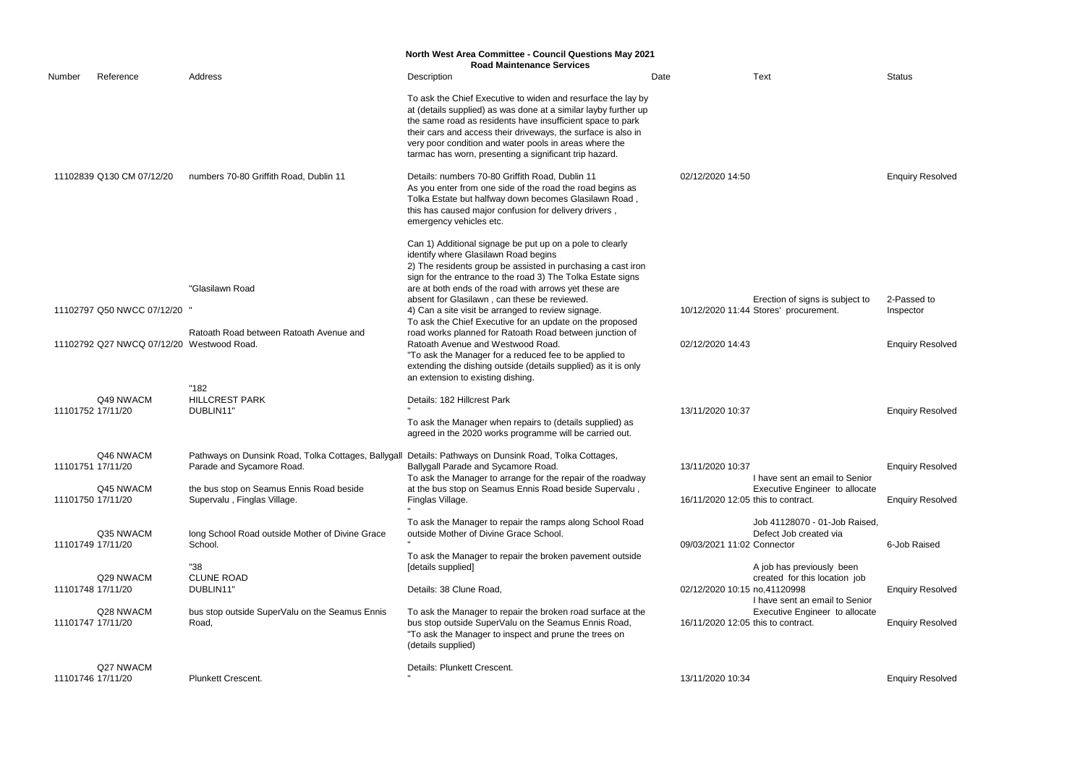|        |                                           |                                                                                                                                     | <b>North West Area Committee - Council Questions May 2021</b><br><b>Road Maintenance Services</b>                                                                                                                                                                                                                                                                                  |      |                                                                                                        |                         |
|--------|-------------------------------------------|-------------------------------------------------------------------------------------------------------------------------------------|------------------------------------------------------------------------------------------------------------------------------------------------------------------------------------------------------------------------------------------------------------------------------------------------------------------------------------------------------------------------------------|------|--------------------------------------------------------------------------------------------------------|-------------------------|
| Number | Reference                                 | Address                                                                                                                             | Description                                                                                                                                                                                                                                                                                                                                                                        | Date | Text                                                                                                   | <b>Status</b>           |
|        |                                           |                                                                                                                                     | To ask the Chief Executive to widen and resurface the lay by<br>at (details supplied) as was done at a similar layby further up<br>the same road as residents have insufficient space to park<br>their cars and access their driveways, the surface is also in<br>very poor condition and water pools in areas where the<br>tarmac has worn, presenting a significant trip hazard. |      |                                                                                                        |                         |
|        | 11102839 Q130 CM 07/12/20                 | numbers 70-80 Griffith Road, Dublin 11                                                                                              | Details: numbers 70-80 Griffith Road, Dublin 11<br>As you enter from one side of the road the road begins as<br>Tolka Estate but halfway down becomes Glasilawn Road,<br>this has caused major confusion for delivery drivers,<br>emergency vehicles etc.                                                                                                                          |      | 02/12/2020 14:50                                                                                       | <b>Enquiry Resolved</b> |
|        |                                           | "Glasilawn Road                                                                                                                     | Can 1) Additional signage be put up on a pole to clearly<br>identify where Glasilawn Road begins<br>2) The residents group be assisted in purchasing a cast iron<br>sign for the entrance to the road 3) The Tolka Estate signs<br>are at both ends of the road with arrows yet these are<br>absent for Glasilawn, can these be reviewed.                                          |      | Erection of signs is subject to                                                                        | 2-Passed to             |
|        | 11102797 Q50 NWCC 07/12/20                |                                                                                                                                     | 4) Can a site visit be arranged to review signage.<br>To ask the Chief Executive for an update on the proposed                                                                                                                                                                                                                                                                     |      | 10/12/2020 11:44 Stores' procurement.                                                                  | Inspector               |
|        | 11102792 Q27 NWCQ 07/12/20 Westwood Road. | Ratoath Road between Ratoath Avenue and                                                                                             | road works planned for Ratoath Road between junction of<br>Ratoath Avenue and Westwood Road.<br>"To ask the Manager for a reduced fee to be applied to<br>extending the dishing outside (details supplied) as it is only<br>an extension to existing dishing.                                                                                                                      |      | 02/12/2020 14:43                                                                                       | <b>Enquiry Resolved</b> |
|        | Q49 NWACM<br>11101752 17/11/20            | "182<br><b>HILLCREST PARK</b><br>DUBLIN11'                                                                                          | Details: 182 Hillcrest Park<br>To ask the Manager when repairs to (details supplied) as<br>agreed in the 2020 works programme will be carried out.                                                                                                                                                                                                                                 |      | 13/11/2020 10:37                                                                                       | <b>Enquiry Resolved</b> |
|        | Q46 NWACM<br>11101751 17/11/20            | Pathways on Dunsink Road, Tolka Cottages, Ballygall Details: Pathways on Dunsink Road, Tolka Cottages,<br>Parade and Sycamore Road. | Ballygall Parade and Sycamore Road.<br>To ask the Manager to arrange for the repair of the roadway<br>at the bus stop on Seamus Ennis Road beside Supervalu,                                                                                                                                                                                                                       |      | 13/11/2020 10:37<br>I have sent an email to Senior                                                     | <b>Enquiry Resolved</b> |
|        | Q45 NWACM<br>11101750 17/11/20            | the bus stop on Seamus Ennis Road beside<br>Supervalu, Finglas Village.                                                             | Finglas Village.                                                                                                                                                                                                                                                                                                                                                                   |      | Executive Engineer to allocate<br>16/11/2020 12:05 this to contract.                                   | <b>Enquiry Resolved</b> |
|        | Q35 NWACM<br>11101749 17/11/20            | long School Road outside Mother of Divine Grace<br>School.                                                                          | To ask the Manager to repair the ramps along School Road<br>outside Mother of Divine Grace School.<br>To ask the Manager to repair the broken pavement outside                                                                                                                                                                                                                     |      | Job 41128070 - 01-Job Raised,<br>Defect Job created via<br>09/03/2021 11:02 Connector                  | 6-Job Raised            |
|        | Q29 NWACM<br>11101748 17/11/20            | "38<br><b>CLUNE ROAD</b><br>DUBLIN11                                                                                                | [details supplied]<br>Details: 38 Clune Road,                                                                                                                                                                                                                                                                                                                                      |      | A job has previously been<br>created for this location job<br>02/12/2020 10:15 no,41120998             | <b>Enquiry Resolved</b> |
|        | Q28 NWACM<br>11101747 17/11/20            | bus stop outside SuperValu on the Seamus Ennis<br>Road,                                                                             | To ask the Manager to repair the broken road surface at the<br>bus stop outside SuperValu on the Seamus Ennis Road,<br>"To ask the Manager to inspect and prune the trees on<br>(details supplied)                                                                                                                                                                                 |      | I have sent an email to Senior<br>Executive Engineer to allocate<br>16/11/2020 12:05 this to contract. | <b>Enquiry Resolved</b> |
|        | Q27 NWACM<br>11101746 17/11/20            | <b>Plunkett Crescent.</b>                                                                                                           | Details: Plunkett Crescent.                                                                                                                                                                                                                                                                                                                                                        |      | 13/11/2020 10:34                                                                                       | <b>Enquiry Resolved</b> |

# Enquiry Resolved

| I have sent an email to Senior<br><b>Executive Engineer to allocate</b>                                     | Eliyuliy Nesulveu       |
|-------------------------------------------------------------------------------------------------------------|-------------------------|
| this to contract.<br>Job 41128070 - 01-Job Raised,                                                          | <b>Enquiry Resolved</b> |
| Defect Job created via<br>Connector                                                                         | 6-Job Raised            |
| A job has previously been<br>created for this location job<br>no.41120998<br>I have sent an email to Senior | <b>Enquiry Resolved</b> |
| Executive Engineer to allocate<br>this to contract.                                                         | <b>Enquiry Resolved</b> |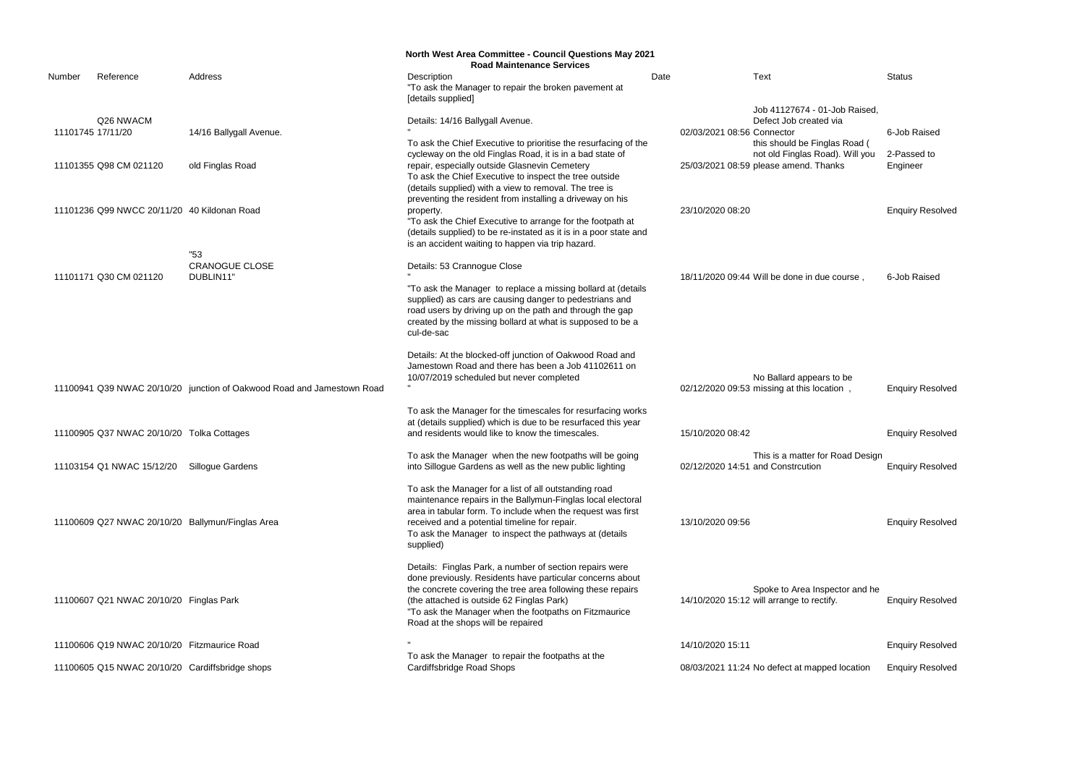|                   |                                                 |                                                                        | <b>North West Area Committee - Council Questions May 2021</b><br><b>Road Maintenance Services</b>                                                                                                                                                                                                                               |      |                                                                                                                                                                                                    |                             |
|-------------------|-------------------------------------------------|------------------------------------------------------------------------|---------------------------------------------------------------------------------------------------------------------------------------------------------------------------------------------------------------------------------------------------------------------------------------------------------------------------------|------|----------------------------------------------------------------------------------------------------------------------------------------------------------------------------------------------------|-----------------------------|
| Number            | Reference                                       | Address                                                                | Description<br>"To ask the Manager to repair the broken pavement at<br>[details supplied]                                                                                                                                                                                                                                       | Date | Text                                                                                                                                                                                               | <b>Status</b>               |
| 11101745 17/11/20 | Q26 NWACM<br>11101355 Q98 CM 021120             | 14/16 Ballygall Avenue.                                                | Details: 14/16 Ballygall Avenue.<br>To ask the Chief Executive to prioritise the resurfacing of the<br>cycleway on the old Finglas Road, it is in a bad state of<br>repair, especially outside Glasnevin Cemetery                                                                                                               |      | Job 41127674 - 01-Job Raised,<br>Defect Job created via<br>02/03/2021 08:56 Connector<br>this should be Finglas Road (<br>not old Finglas Road). Will you<br>25/03/2021 08:59 please amend. Thanks | 6-Job Raised<br>2-Passed to |
|                   |                                                 | old Finglas Road                                                       | To ask the Chief Executive to inspect the tree outside<br>(details supplied) with a view to removal. The tree is<br>preventing the resident from installing a driveway on his                                                                                                                                                   |      |                                                                                                                                                                                                    | Engineer                    |
|                   | 11101236 Q99 NWCC 20/11/20 40 Kildonan Road     |                                                                        | property.<br>"To ask the Chief Executive to arrange for the footpath at<br>(details supplied) to be re-instated as it is in a poor state and<br>is an accident waiting to happen via trip hazard.                                                                                                                               |      | 23/10/2020 08:20                                                                                                                                                                                   | <b>Enquiry Resolved</b>     |
|                   | 11101171 Q30 CM 021120                          | "53<br><b>CRANOGUE CLOSE</b><br>DUBLIN11'                              | Details: 53 Crannogue Close<br>"To ask the Manager to replace a missing bollard at (details<br>supplied) as cars are causing danger to pedestrians and<br>road users by driving up on the path and through the gap<br>created by the missing bollard at what is supposed to be a<br>cul-de-sac                                  |      | 18/11/2020 09:44 Will be done in due course,                                                                                                                                                       | 6-Job Raised                |
|                   |                                                 | 11100941 Q39 NWAC 20/10/20 junction of Oakwood Road and Jamestown Road | Details: At the blocked-off junction of Oakwood Road and<br>Jamestown Road and there has been a Job 41102611 on<br>10/07/2019 scheduled but never completed                                                                                                                                                                     |      | No Ballard appears to be<br>02/12/2020 09:53 missing at this location,                                                                                                                             | <b>Enquiry Resolved</b>     |
|                   | 11100905 Q37 NWAC 20/10/20 Tolka Cottages       |                                                                        | To ask the Manager for the timescales for resurfacing works<br>at (details supplied) which is due to be resurfaced this year<br>and residents would like to know the timescales.                                                                                                                                                |      | 15/10/2020 08:42                                                                                                                                                                                   | <b>Enquiry Resolved</b>     |
|                   | 11103154 Q1 NWAC 15/12/20                       | Sillogue Gardens                                                       | To ask the Manager when the new footpaths will be going<br>into Sillogue Gardens as well as the new public lighting                                                                                                                                                                                                             |      | This is a matter for Road Design<br>02/12/2020 14:51 and Constrcution                                                                                                                              | <b>Enquiry Resolved</b>     |
|                   |                                                 | 11100609 Q27 NWAC 20/10/20 Ballymun/Finglas Area                       | To ask the Manager for a list of all outstanding road<br>maintenance repairs in the Ballymun-Finglas local electoral<br>area in tabular form. To include when the request was first<br>received and a potential timeline for repair.<br>To ask the Manager to inspect the pathways at (details<br>supplied)                     |      | 13/10/2020 09:56                                                                                                                                                                                   | <b>Enquiry Resolved</b>     |
|                   | 11100607 Q21 NWAC 20/10/20 Finglas Park         |                                                                        | Details: Finglas Park, a number of section repairs were<br>done previously. Residents have particular concerns about<br>the concrete covering the tree area following these repairs<br>(the attached is outside 62 Finglas Park)<br>"To ask the Manager when the footpaths on Fitzmaurice<br>Road at the shops will be repaired |      | Spoke to Area Inspector and he<br>14/10/2020 15:12 will arrange to rectify.                                                                                                                        | <b>Enquiry Resolved</b>     |
|                   | 11100606 Q19 NWAC 20/10/20 Fitzmaurice Road     |                                                                        |                                                                                                                                                                                                                                                                                                                                 |      | 14/10/2020 15:11                                                                                                                                                                                   | <b>Enquiry Resolved</b>     |
|                   | 11100605 Q15 NWAC 20/10/20 Cardiffsbridge shops |                                                                        | To ask the Manager to repair the footpaths at the<br>Cardiffsbridge Road Shops                                                                                                                                                                                                                                                  |      | 08/03/2021 11:24 No defect at mapped location                                                                                                                                                      | <b>Enquiry Resolved</b>     |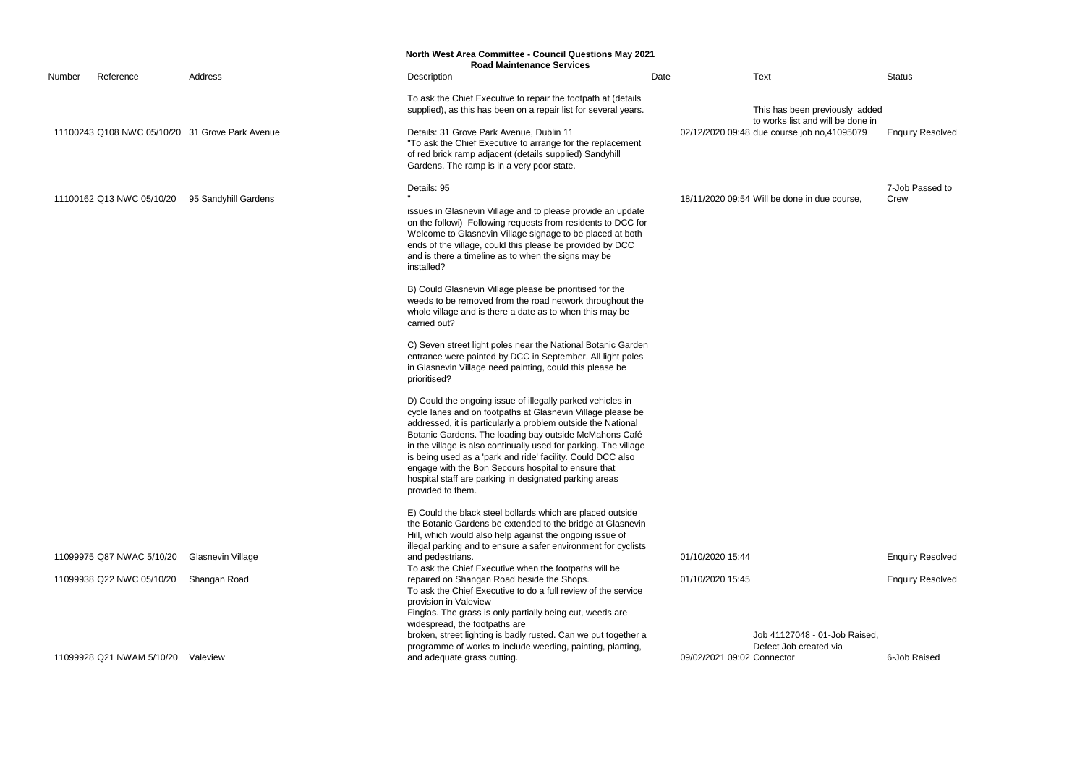This has been previously added to works list and will be done in ob no,41095079 Enquiry Resolved

7-Job Passed to Crew

**Enquiry Resolved** 

**Enquiry Resolved** 

6-Job Raised

|        |                           |                                                 | <b>North West Area Committee - Council Questions May 2021</b><br><b>Road Maintenance Services</b>                                                                                                                                                                                                                                                                                                                                         |      |                                                                                                                    |               |
|--------|---------------------------|-------------------------------------------------|-------------------------------------------------------------------------------------------------------------------------------------------------------------------------------------------------------------------------------------------------------------------------------------------------------------------------------------------------------------------------------------------------------------------------------------------|------|--------------------------------------------------------------------------------------------------------------------|---------------|
| Number | Reference                 | Address                                         | Description                                                                                                                                                                                                                                                                                                                                                                                                                               | Date | <b>Text</b>                                                                                                        | Status        |
|        |                           | 11100243 Q108 NWC 05/10/20 31 Grove Park Avenue | To ask the Chief Executive to repair the footpath at (details<br>supplied), as this has been on a repair list for several years.<br>Details: 31 Grove Park Avenue, Dublin 11<br>"To ask the Chief Executive to arrange for the replacement                                                                                                                                                                                                |      | This has been previously added<br>to works list and will be done in<br>02/12/2020 09:48 due course job no,41095079 | Enqui         |
|        | 11100162 Q13 NWC 05/10/20 | 95 Sandyhill Gardens                            | of red brick ramp adjacent (details supplied) Sandyhill<br>Gardens. The ramp is in a very poor state.<br>Details: 95<br>issues in Glasnevin Village and to please provide an update                                                                                                                                                                                                                                                       |      | 18/11/2020 09:54 Will be done in due course,                                                                       | 7-Job<br>Crew |
|        |                           |                                                 | on the followi) Following requests from residents to DCC for<br>Welcome to Glasnevin Village signage to be placed at both<br>ends of the village, could this please be provided by DCC<br>and is there a timeline as to when the signs may be<br>installed?<br>B) Could Glasnevin Village please be prioritised for the                                                                                                                   |      |                                                                                                                    |               |
|        |                           |                                                 | weeds to be removed from the road network throughout the<br>whole village and is there a date as to when this may be<br>carried out?<br>C) Seven street light poles near the National Botanic Garden                                                                                                                                                                                                                                      |      |                                                                                                                    |               |
|        |                           |                                                 | entrance were painted by DCC in September. All light poles<br>in Glasnevin Village need painting, could this please be<br>prioritised?<br>D) Could the ongoing issue of illegally parked vehicles in                                                                                                                                                                                                                                      |      |                                                                                                                    |               |
|        |                           |                                                 | cycle lanes and on footpaths at Glasnevin Village please be<br>addressed, it is particularly a problem outside the National<br>Botanic Gardens. The loading bay outside McMahons Café<br>in the village is also continually used for parking. The village<br>is being used as a 'park and ride' facility. Could DCC also<br>engage with the Bon Secours hospital to ensure that<br>hospital staff are parking in designated parking areas |      |                                                                                                                    |               |
|        |                           |                                                 | provided to them.<br>E) Could the black steel bollards which are placed outside<br>the Botanic Gardens be extended to the bridge at Glasnevin<br>Hill, which would also help against the ongoing issue of<br>illegal parking and to ensure a safer environment for cyclists                                                                                                                                                               |      |                                                                                                                    |               |
|        | 11099975 Q87 NWAC 5/10/20 | Glasnevin Village                               | and pedestrians.<br>To ask the Chief Executive when the footpaths will be                                                                                                                                                                                                                                                                                                                                                                 |      | 01/10/2020 15:44                                                                                                   | Enqui         |
|        | 11099938 Q22 NWC 05/10/20 | Shangan Road                                    | repaired on Shangan Road beside the Shops.<br>To ask the Chief Executive to do a full review of the service<br>provision in Valeview<br>Finglas. The grass is only partially being cut, weeds are<br>widespread, the footpaths are                                                                                                                                                                                                        |      | 01/10/2020 15:45                                                                                                   | Enqui         |
|        | 11099928 Q21 NWAM 5/10/20 | Valeview                                        | broken, street lighting is badly rusted. Can we put together a<br>programme of works to include weeding, painting, planting,<br>and adequate grass cutting.                                                                                                                                                                                                                                                                               |      | Job 41127048 - 01-Job Raised,<br>Defect Job created via<br>09/02/2021 09:02 Connector                              | 6-Job         |
|        |                           |                                                 |                                                                                                                                                                                                                                                                                                                                                                                                                                           |      |                                                                                                                    |               |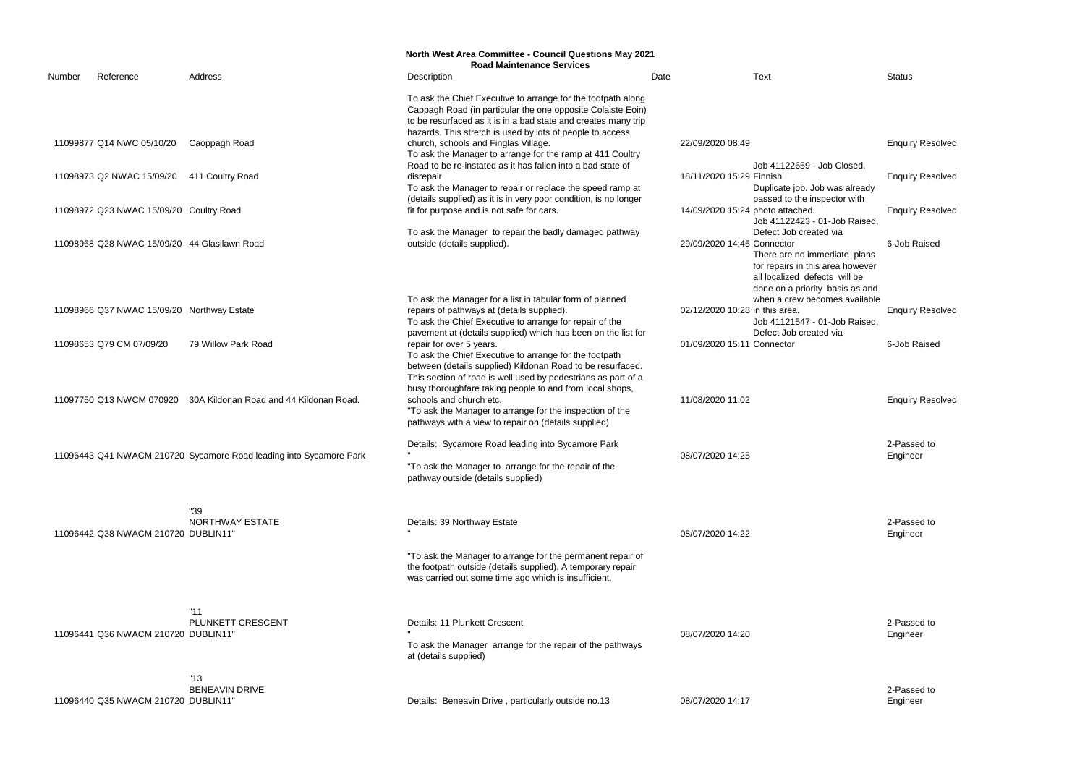|        |                                              |                                                                    | <b>North West Area Committee - Council Questions May 2021</b>                                                                                                                                                                                                                      |                  |                                                                                                                                                                                              |                         |
|--------|----------------------------------------------|--------------------------------------------------------------------|------------------------------------------------------------------------------------------------------------------------------------------------------------------------------------------------------------------------------------------------------------------------------------|------------------|----------------------------------------------------------------------------------------------------------------------------------------------------------------------------------------------|-------------------------|
| Number | Reference                                    | Address                                                            | <b>Road Maintenance Services</b><br>Description                                                                                                                                                                                                                                    | Date             | <b>Text</b>                                                                                                                                                                                  | <b>Status</b>           |
|        |                                              |                                                                    | To ask the Chief Executive to arrange for the footpath along<br>Cappagh Road (in particular the one opposite Colaiste Eoin)<br>to be resurfaced as it is in a bad state and creates many trip                                                                                      |                  |                                                                                                                                                                                              |                         |
|        | 11099877 Q14 NWC 05/10/20                    | Caoppagh Road                                                      | hazards. This stretch is used by lots of people to access<br>church, schools and Finglas Village.<br>To ask the Manager to arrange for the ramp at 411 Coultry<br>Road to be re-instated as it has fallen into a bad state of                                                      | 22/09/2020 08:49 | Job 41122659 - Job Closed,                                                                                                                                                                   | <b>Enquiry Resolved</b> |
|        | 11098973 Q2 NWAC 15/09/20                    | 411 Coultry Road                                                   | disrepair.<br>To ask the Manager to repair or replace the speed ramp at<br>(details supplied) as it is in very poor condition, is no longer                                                                                                                                        |                  | 18/11/2020 15:29 Finnish<br>Duplicate job. Job was already<br>passed to the inspector with                                                                                                   | <b>Enquiry Resolved</b> |
|        | 11098972 Q23 NWAC 15/09/20 Coultry Road      |                                                                    | fit for purpose and is not safe for cars.                                                                                                                                                                                                                                          |                  | 14/09/2020 15:24 photo attached.<br>Job 41122423 - 01-Job Raised                                                                                                                             | <b>Enquiry Resolved</b> |
|        | 11098968 Q28 NWAC 15/09/20 44 Glasilawn Road |                                                                    | To ask the Manager to repair the badly damaged pathway<br>outside (details supplied).                                                                                                                                                                                              |                  | Defect Job created via<br>29/09/2020 14:45 Connector<br>There are no immediate plans<br>for repairs in this area however<br>all localized defects will be<br>done on a priority basis as and | 6-Job Raised            |
|        | 11098966 Q37 NWAC 15/09/20 Northway Estate   |                                                                    | To ask the Manager for a list in tabular form of planned<br>repairs of pathways at (details supplied).<br>To ask the Chief Executive to arrange for repair of the                                                                                                                  |                  | when a crew becomes available<br>02/12/2020 10:28 in this area.<br>Job 41121547 - 01-Job Raised                                                                                              | <b>Enquiry Resolved</b> |
|        | 11098653 Q79 CM 07/09/20                     | 79 Willow Park Road                                                | pavement at (details supplied) which has been on the list for<br>repair for over 5 years.<br>To ask the Chief Executive to arrange for the footpath<br>between (details supplied) Kildonan Road to be resurfaced.<br>This section of road is well used by pedestrians as part of a |                  | Defect Job created via<br>01/09/2020 15:11 Connector                                                                                                                                         | 6-Job Raised            |
|        | 11097750 Q13 NWCM 070920                     | 30A Kildonan Road and 44 Kildonan Road.                            | busy thoroughfare taking people to and from local shops,<br>schools and church etc.<br>"To ask the Manager to arrange for the inspection of the<br>pathways with a view to repair on (details supplied)                                                                            | 11/08/2020 11:02 |                                                                                                                                                                                              | <b>Enquiry Resolved</b> |
|        |                                              | 11096443 Q41 NWACM 210720 Sycamore Road leading into Sycamore Park | Details: Sycamore Road leading into Sycamore Park<br>"To ask the Manager to arrange for the repair of the<br>pathway outside (details supplied)                                                                                                                                    | 08/07/2020 14:25 |                                                                                                                                                                                              | 2-Passed to<br>Engineer |
|        | 11096442 Q38 NWACM 210720 DUBLIN11"          | "39<br><b>NORTHWAY ESTATE</b>                                      | Details: 39 Northway Estate                                                                                                                                                                                                                                                        | 08/07/2020 14:22 |                                                                                                                                                                                              | 2-Passed to<br>Engineer |
|        |                                              |                                                                    | "To ask the Manager to arrange for the permanent repair of<br>the footpath outside (details supplied). A temporary repair<br>was carried out some time ago which is insufficient.                                                                                                  |                  |                                                                                                                                                                                              |                         |
|        | 11096441 Q36 NWACM 210720 DUBLIN11"          | "11"<br>PLUNKETT CRESCENT                                          | Details: 11 Plunkett Crescent<br>To ask the Manager arrange for the repair of the pathways<br>at (details supplied)                                                                                                                                                                | 08/07/2020 14:20 |                                                                                                                                                                                              | 2-Passed to<br>Engineer |
|        | 11096440 Q35 NWACM 210720 DUBLIN11"          | "13"<br><b>BENEAVIN DRIVE</b>                                      | Details: Beneavin Drive, particularly outside no.13                                                                                                                                                                                                                                | 08/07/2020 14:17 |                                                                                                                                                                                              | 2-Passed to<br>Engineer |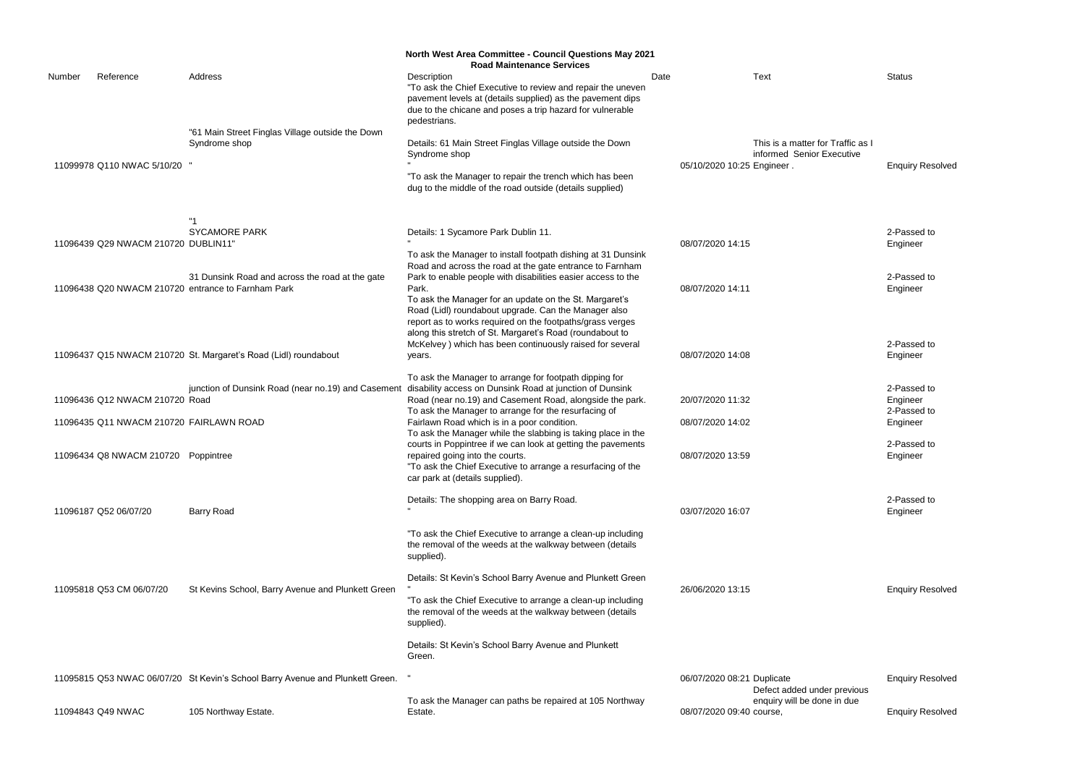2-Passed to Engineer

2-Passed to Engineer

| Description<br><b>Text</b><br>Reference<br>Address<br>Date<br>Number<br>"To ask the Chief Executive to review and repair the uneven<br>pavement levels at (details supplied) as the pavement dips<br>due to the chicane and poses a trip hazard for vulnerable<br>pedestrians.<br>"61 Main Street Finglas Village outside the Down<br>Syndrome shop<br>Details: 61 Main Street Finglas Village outside the Down<br>This is a matter for Traffic as I<br>informed Senior Executive<br>Syndrome shop<br>11099978 Q110 NWAC 5/10/20<br>05/10/2020 10:25 Engineer.<br>"To ask the Manager to repair the trench which has been<br>dug to the middle of the road outside (details supplied)<br><b>SYCAMORE PARK</b><br>Details: 1 Sycamore Park Dublin 11.<br>11096439 Q29 NWACM 210720 DUBLIN11"<br>08/07/2020 14:15<br>To ask the Manager to install footpath dishing at 31 Dunsink<br>Road and across the road at the gate entrance to Farnham<br>31 Dunsink Road and across the road at the gate<br>Park to enable people with disabilities easier access to the<br>11096438 Q20 NWACM 210720 entrance to Farnham Park<br>Park.<br>08/07/2020 14:11<br>To ask the Manager for an update on the St. Margaret's<br>Road (Lidl) roundabout upgrade. Can the Manager also<br>report as to works required on the footpaths/grass verges<br>along this stretch of St. Margaret's Road (roundabout to<br>McKelvey ) which has been continuously raised for several<br>11096437 Q15 NWACM 210720 St. Margaret's Road (Lidl) roundabout<br>08/07/2020 14:08<br>years.<br>To ask the Manager to arrange for footpath dipping for<br>disability access on Dunsink Road at junction of Dunsink<br>junction of Dunsink Road (near no.19) and Casement<br>11096436 Q12 NWACM 210720 Road<br>Road (near no.19) and Casement Road, alongside the park.<br>20/07/2020 11:32<br>To ask the Manager to arrange for the resurfacing of<br>2-Pas<br>Fairlawn Road which is in a poor condition.<br>11096435 Q11 NWACM 210720 FAIRLAWN ROAD<br>08/07/2020 14:02<br>To ask the Manager while the slabbing is taking place in the<br>courts in Poppintree if we can look at getting the pavements<br>08/07/2020 13:59<br>11096434 Q8 NWACM 210720 Poppintree<br>repaired going into the courts.<br>"To ask the Chief Executive to arrange a resurfacing of the<br>car park at (details supplied).<br>Details: The shopping area on Barry Road.<br><b>Barry Road</b><br>03/07/2020 16:07<br>11096187 Q52 06/07/20<br>"To ask the Chief Executive to arrange a clean-up including<br>the removal of the weeds at the walkway between (details<br>supplied).<br>Details: St Kevin's School Barry Avenue and Plunkett Green<br>11095818 Q53 CM 06/07/20<br>St Kevins School, Barry Avenue and Plunkett Green<br>26/06/2020 13:15<br>Enqui<br>"To ask the Chief Executive to arrange a clean-up including<br>the removal of the weeds at the walkway between (details<br>supplied).<br>Details: St Kevin's School Barry Avenue and Plunkett<br>Green.<br>11095815 Q53 NWAC 06/07/20 St Kevin's School Barry Avenue and Plunkett Green.<br>06/07/2020 08:21 Duplicate<br>Defect added under previous<br>enquiry will be done in due<br>To ask the Manager can paths be repaired at 105 Northway<br>11094843 Q49 NWAC<br>105 Northway Estate.<br>08/07/2020 09:40 course,<br>Estate. |  | <b>North West Area Committee - Council Questions May 2021</b><br><b>Road Maintenance Services</b> |  |                 |
|-----------------------------------------------------------------------------------------------------------------------------------------------------------------------------------------------------------------------------------------------------------------------------------------------------------------------------------------------------------------------------------------------------------------------------------------------------------------------------------------------------------------------------------------------------------------------------------------------------------------------------------------------------------------------------------------------------------------------------------------------------------------------------------------------------------------------------------------------------------------------------------------------------------------------------------------------------------------------------------------------------------------------------------------------------------------------------------------------------------------------------------------------------------------------------------------------------------------------------------------------------------------------------------------------------------------------------------------------------------------------------------------------------------------------------------------------------------------------------------------------------------------------------------------------------------------------------------------------------------------------------------------------------------------------------------------------------------------------------------------------------------------------------------------------------------------------------------------------------------------------------------------------------------------------------------------------------------------------------------------------------------------------------------------------------------------------------------------------------------------------------------------------------------------------------------------------------------------------------------------------------------------------------------------------------------------------------------------------------------------------------------------------------------------------------------------------------------------------------------------------------------------------------------------------------------------------------------------------------------------------------------------------------------------------------------------------------------------------------------------------------------------------------------------------------------------------------------------------------------------------------------------------------------------------------------------------------------------------------------------------------------------------------------------------------------------------------------------------------------------------------------------------------------------------------------------------------------------------------------------------------------------------------------------------------------------------------------------------------|--|---------------------------------------------------------------------------------------------------|--|-----------------|
|                                                                                                                                                                                                                                                                                                                                                                                                                                                                                                                                                                                                                                                                                                                                                                                                                                                                                                                                                                                                                                                                                                                                                                                                                                                                                                                                                                                                                                                                                                                                                                                                                                                                                                                                                                                                                                                                                                                                                                                                                                                                                                                                                                                                                                                                                                                                                                                                                                                                                                                                                                                                                                                                                                                                                                                                                                                                                                                                                                                                                                                                                                                                                                                                                                                                                                                                                     |  |                                                                                                   |  | Status          |
|                                                                                                                                                                                                                                                                                                                                                                                                                                                                                                                                                                                                                                                                                                                                                                                                                                                                                                                                                                                                                                                                                                                                                                                                                                                                                                                                                                                                                                                                                                                                                                                                                                                                                                                                                                                                                                                                                                                                                                                                                                                                                                                                                                                                                                                                                                                                                                                                                                                                                                                                                                                                                                                                                                                                                                                                                                                                                                                                                                                                                                                                                                                                                                                                                                                                                                                                                     |  |                                                                                                   |  | Enqui           |
|                                                                                                                                                                                                                                                                                                                                                                                                                                                                                                                                                                                                                                                                                                                                                                                                                                                                                                                                                                                                                                                                                                                                                                                                                                                                                                                                                                                                                                                                                                                                                                                                                                                                                                                                                                                                                                                                                                                                                                                                                                                                                                                                                                                                                                                                                                                                                                                                                                                                                                                                                                                                                                                                                                                                                                                                                                                                                                                                                                                                                                                                                                                                                                                                                                                                                                                                                     |  |                                                                                                   |  | 2-Pas<br>Engine |
|                                                                                                                                                                                                                                                                                                                                                                                                                                                                                                                                                                                                                                                                                                                                                                                                                                                                                                                                                                                                                                                                                                                                                                                                                                                                                                                                                                                                                                                                                                                                                                                                                                                                                                                                                                                                                                                                                                                                                                                                                                                                                                                                                                                                                                                                                                                                                                                                                                                                                                                                                                                                                                                                                                                                                                                                                                                                                                                                                                                                                                                                                                                                                                                                                                                                                                                                                     |  |                                                                                                   |  | 2-Pas<br>Engine |
|                                                                                                                                                                                                                                                                                                                                                                                                                                                                                                                                                                                                                                                                                                                                                                                                                                                                                                                                                                                                                                                                                                                                                                                                                                                                                                                                                                                                                                                                                                                                                                                                                                                                                                                                                                                                                                                                                                                                                                                                                                                                                                                                                                                                                                                                                                                                                                                                                                                                                                                                                                                                                                                                                                                                                                                                                                                                                                                                                                                                                                                                                                                                                                                                                                                                                                                                                     |  |                                                                                                   |  | 2-Pas<br>Engine |
|                                                                                                                                                                                                                                                                                                                                                                                                                                                                                                                                                                                                                                                                                                                                                                                                                                                                                                                                                                                                                                                                                                                                                                                                                                                                                                                                                                                                                                                                                                                                                                                                                                                                                                                                                                                                                                                                                                                                                                                                                                                                                                                                                                                                                                                                                                                                                                                                                                                                                                                                                                                                                                                                                                                                                                                                                                                                                                                                                                                                                                                                                                                                                                                                                                                                                                                                                     |  |                                                                                                   |  | 2-Pas<br>Engine |
|                                                                                                                                                                                                                                                                                                                                                                                                                                                                                                                                                                                                                                                                                                                                                                                                                                                                                                                                                                                                                                                                                                                                                                                                                                                                                                                                                                                                                                                                                                                                                                                                                                                                                                                                                                                                                                                                                                                                                                                                                                                                                                                                                                                                                                                                                                                                                                                                                                                                                                                                                                                                                                                                                                                                                                                                                                                                                                                                                                                                                                                                                                                                                                                                                                                                                                                                                     |  |                                                                                                   |  | Engine          |
|                                                                                                                                                                                                                                                                                                                                                                                                                                                                                                                                                                                                                                                                                                                                                                                                                                                                                                                                                                                                                                                                                                                                                                                                                                                                                                                                                                                                                                                                                                                                                                                                                                                                                                                                                                                                                                                                                                                                                                                                                                                                                                                                                                                                                                                                                                                                                                                                                                                                                                                                                                                                                                                                                                                                                                                                                                                                                                                                                                                                                                                                                                                                                                                                                                                                                                                                                     |  |                                                                                                   |  | 2-Pas<br>Engin  |
|                                                                                                                                                                                                                                                                                                                                                                                                                                                                                                                                                                                                                                                                                                                                                                                                                                                                                                                                                                                                                                                                                                                                                                                                                                                                                                                                                                                                                                                                                                                                                                                                                                                                                                                                                                                                                                                                                                                                                                                                                                                                                                                                                                                                                                                                                                                                                                                                                                                                                                                                                                                                                                                                                                                                                                                                                                                                                                                                                                                                                                                                                                                                                                                                                                                                                                                                                     |  |                                                                                                   |  | 2-Pas<br>Engine |
|                                                                                                                                                                                                                                                                                                                                                                                                                                                                                                                                                                                                                                                                                                                                                                                                                                                                                                                                                                                                                                                                                                                                                                                                                                                                                                                                                                                                                                                                                                                                                                                                                                                                                                                                                                                                                                                                                                                                                                                                                                                                                                                                                                                                                                                                                                                                                                                                                                                                                                                                                                                                                                                                                                                                                                                                                                                                                                                                                                                                                                                                                                                                                                                                                                                                                                                                                     |  |                                                                                                   |  |                 |
|                                                                                                                                                                                                                                                                                                                                                                                                                                                                                                                                                                                                                                                                                                                                                                                                                                                                                                                                                                                                                                                                                                                                                                                                                                                                                                                                                                                                                                                                                                                                                                                                                                                                                                                                                                                                                                                                                                                                                                                                                                                                                                                                                                                                                                                                                                                                                                                                                                                                                                                                                                                                                                                                                                                                                                                                                                                                                                                                                                                                                                                                                                                                                                                                                                                                                                                                                     |  |                                                                                                   |  |                 |
|                                                                                                                                                                                                                                                                                                                                                                                                                                                                                                                                                                                                                                                                                                                                                                                                                                                                                                                                                                                                                                                                                                                                                                                                                                                                                                                                                                                                                                                                                                                                                                                                                                                                                                                                                                                                                                                                                                                                                                                                                                                                                                                                                                                                                                                                                                                                                                                                                                                                                                                                                                                                                                                                                                                                                                                                                                                                                                                                                                                                                                                                                                                                                                                                                                                                                                                                                     |  |                                                                                                   |  |                 |
|                                                                                                                                                                                                                                                                                                                                                                                                                                                                                                                                                                                                                                                                                                                                                                                                                                                                                                                                                                                                                                                                                                                                                                                                                                                                                                                                                                                                                                                                                                                                                                                                                                                                                                                                                                                                                                                                                                                                                                                                                                                                                                                                                                                                                                                                                                                                                                                                                                                                                                                                                                                                                                                                                                                                                                                                                                                                                                                                                                                                                                                                                                                                                                                                                                                                                                                                                     |  |                                                                                                   |  |                 |
|                                                                                                                                                                                                                                                                                                                                                                                                                                                                                                                                                                                                                                                                                                                                                                                                                                                                                                                                                                                                                                                                                                                                                                                                                                                                                                                                                                                                                                                                                                                                                                                                                                                                                                                                                                                                                                                                                                                                                                                                                                                                                                                                                                                                                                                                                                                                                                                                                                                                                                                                                                                                                                                                                                                                                                                                                                                                                                                                                                                                                                                                                                                                                                                                                                                                                                                                                     |  |                                                                                                   |  | Enqui           |
|                                                                                                                                                                                                                                                                                                                                                                                                                                                                                                                                                                                                                                                                                                                                                                                                                                                                                                                                                                                                                                                                                                                                                                                                                                                                                                                                                                                                                                                                                                                                                                                                                                                                                                                                                                                                                                                                                                                                                                                                                                                                                                                                                                                                                                                                                                                                                                                                                                                                                                                                                                                                                                                                                                                                                                                                                                                                                                                                                                                                                                                                                                                                                                                                                                                                                                                                                     |  |                                                                                                   |  | Enqui           |

**Enquiry Resolved** 

2-Passed to Engineer 2-Passed to Engineer

2-Passed to Engineer

2-Passed to Engineer

Enquiry Resolved

Enquiry Resolved

**Enquiry Resolved**